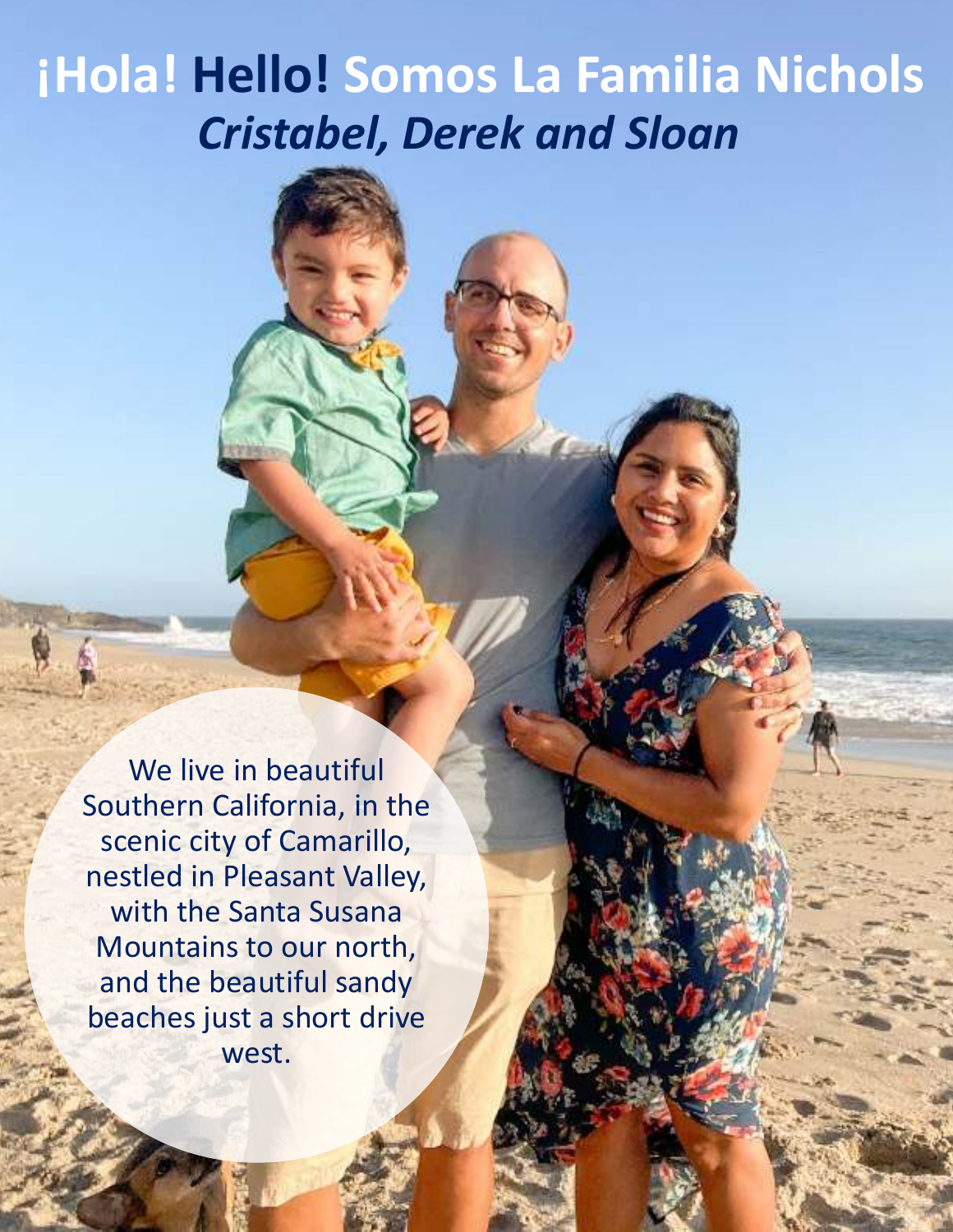### **¡Hola! Hello! Somos La Familia Nichols** *Cristabel, Derek and Sloan*

We live in beautiful Southern California, in the scenic city of Camarillo, nestled in Pleasant Valley, with the Santa Susana Mountains to our north, and the beautiful sandy beaches just a short drive west.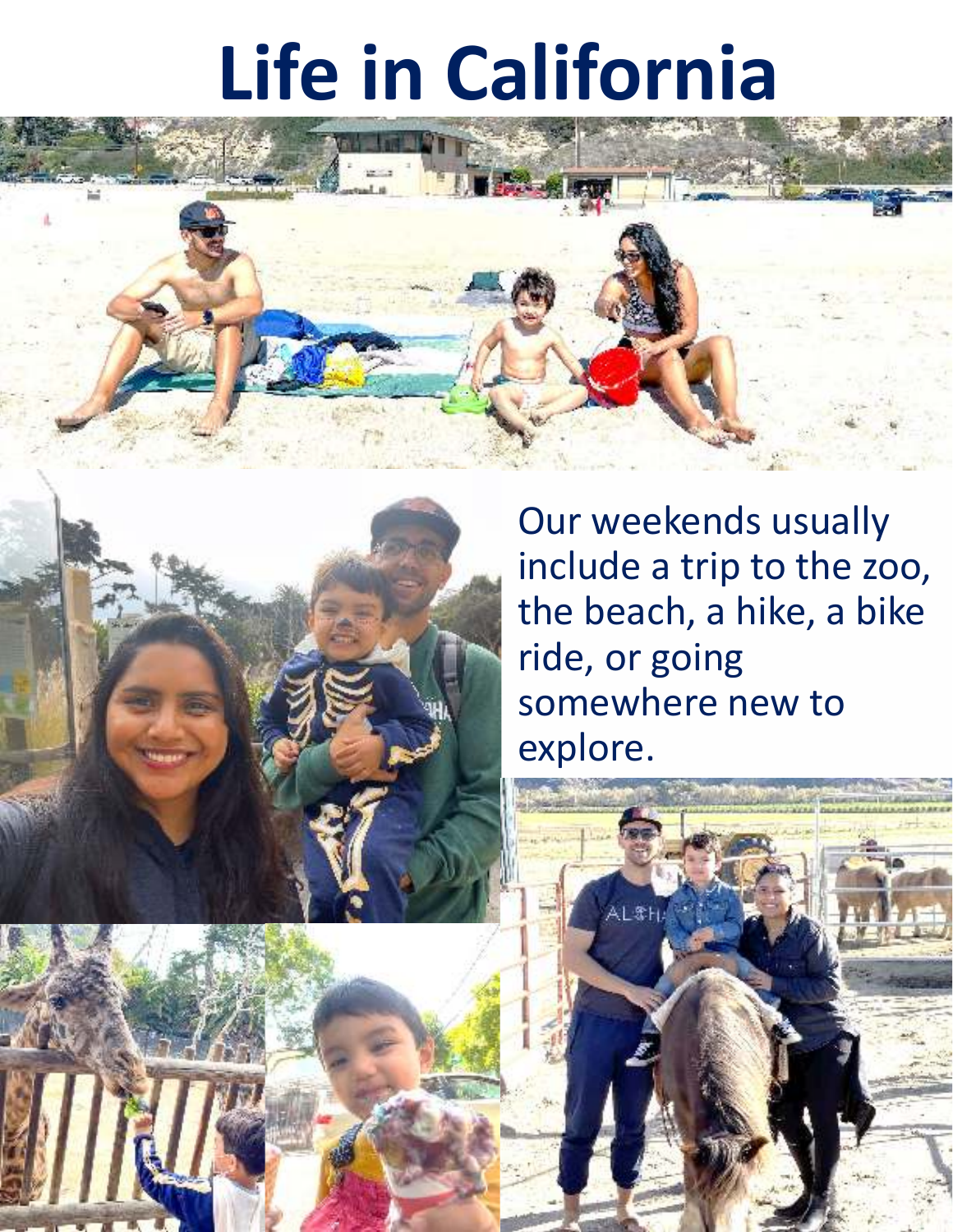### **Life in California**





Our weekends usually include a trip to the zoo, the beach, a hike, a bike ride, or going somewhere new to explore.

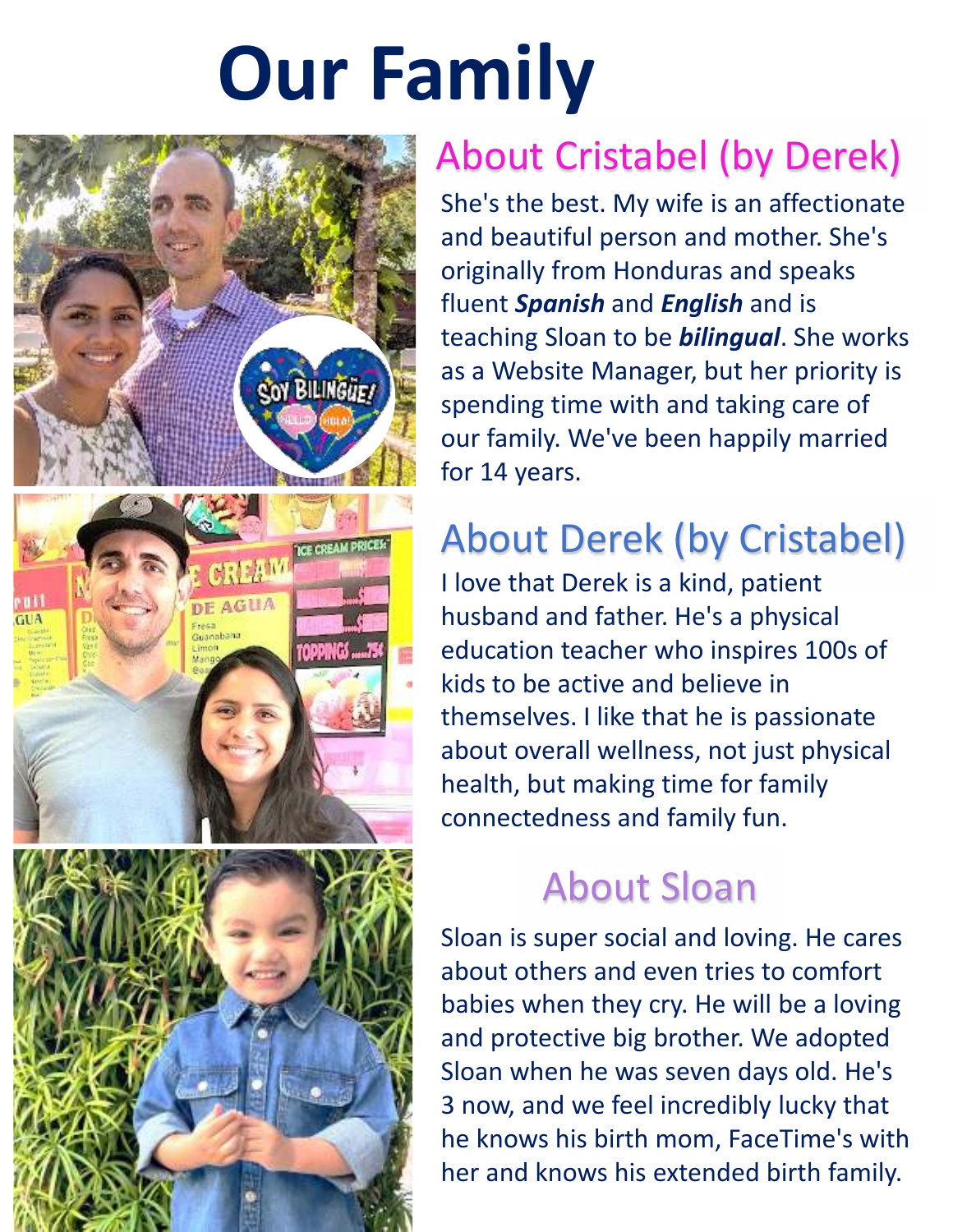## **Our Family**



#### About Cristabel (by Derek)

She's the best. My wife is an affectionate and beautiful person and mother. She's originally from Honduras and speaks fluent *Spanish* and *English* and is teaching Sloan to be *bilingual*. She works as a Website Manager, but her priority is spending time with and taking care of our family. We've been happily married for 14 years.

#### About Derek (by Cristabel)

I love that Derek is a kind, patient husband and father. He's a physical education teacher who inspires 100s of kids to be active and believe in themselves. I like that he is passionate about overall wellness, not just physical health, but making time for family connectedness and family fun.

#### About Sloan

Sloan is super social and loving. He cares about others and even tries to comfort babies when they cry. He will be a loving and protective big brother. We adopted Sloan when he was seven days old. He's 3 now, and we feel incredibly lucky that he knows his birth mom, FaceTime's with her and knows his extended birth family.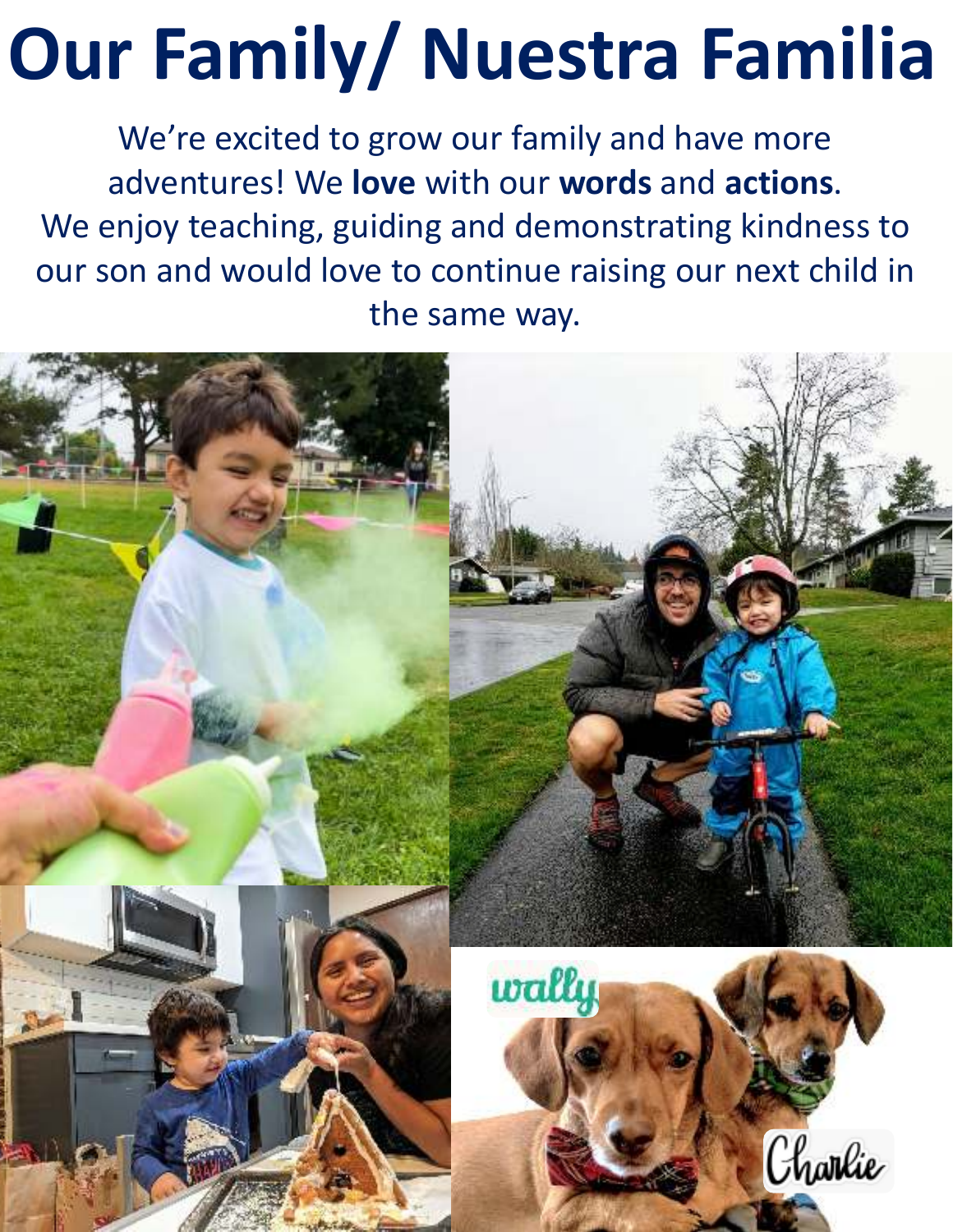# **Our Family/ Nuestra Familia**

We're excited to grow our family and have more adventures! We **love** with our **words** and **actions**. We enjoy teaching, guiding and demonstrating kindness to our son and would love to continue raising our next child in the same way.